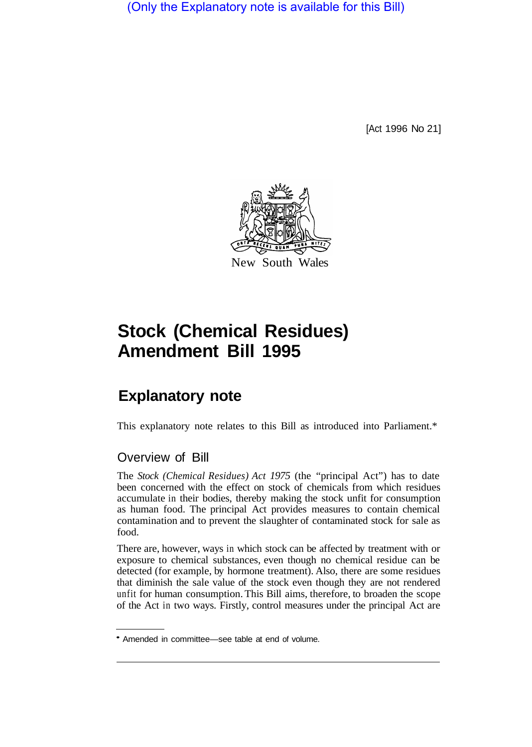(Only the Explanatory note is available for this Bill)

[Act 1996 No 21]



# **Stock (Chemical Residues) Amendment Bill 1995**

# **Explanatory note**

This explanatory note relates to this Bill as introduced into Parliament.\*

# Overview of Bill

The *Stock (Chemical Residues) Act 1975* (the "principal Act") has to date been concerned with the effect on stock of chemicals from which residues accumulate in their bodies, thereby making the stock unfit for consumption as human food. The principal Act provides measures to contain chemical contamination and to prevent the slaughter of contaminated stock for sale as food.

There are, however, ways in which stock can be affected by treatment with or exposure to chemical substances, even though no chemical residue can be detected (for example, by hormone treatment). Also, there are some residues that diminish the sale value of the stock even though they are not rendered unfit for human consumption. This Bill aims, therefore, to broaden the scope of the Act in two ways. Firstly, control measures under the principal Act are

Amended in committee—see table at end of volume.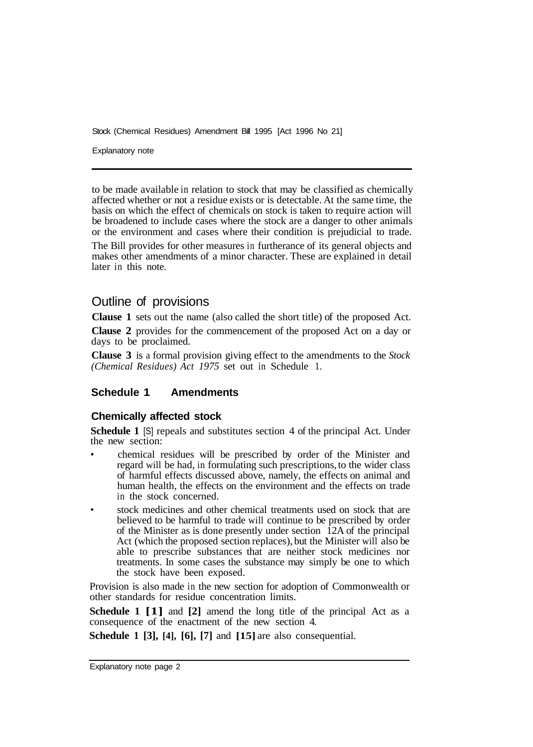Stock (Chemical Residues) Amendment Bill 1995 [Act 1996 No 21]

Explanatory note

to be made available in relation to stock that may be classified as chemically affected whether or not a residue exists or is detectable. At the same time, the basis on which the effect of chemicals on stock is taken to require action will be broadened to include cases where the stock are a danger to other animals or the environment and cases where their condition is prejudicial to trade.

The Bill provides for other measures in furtherance of its general objects and makes other amendments of a minor character. These are explained in detail later in this note.

# Outline of provisions

**Clause 1** sets out the name (also called the short title) of the proposed Act.

**Clause 2** provides for the commencement of the proposed Act on a day or days to be proclaimed.

**Clause 3** is a formal provision giving effect to the amendments to the *Stock (Chemical Residues) Act 1975* set out in Schedule 1.

# **Schedule 1 Amendments**

#### **Chemically affected stock**

**Schedule 1** [S] repeals and substitutes section 4 of the principal Act. Under the new section:

- chemical residues will be prescribed by order of the Minister and regard will be had, in formulating such prescriptions, to the wider class of harmful effects discussed above, namely, the effects on animal and human health, the effects on the environment and the effects on trade in the stock concerned.
- stock medicines and other chemical treatments used on stock that are believed to be harmful to trade will continue to be prescribed by order of the Minister as is done presently under section 12A of the principal Act (which the proposed section replaces), but the Minister will also be able to prescribe substances that are neither stock medicines nor treatments. In some cases the substance may simply be one to which the stock have been exposed.

Provision is also made in the new section for adoption of Commonwealth or other standards for residue concentration limits.

**Schedule 1 [1]** and **[2]** amend the long title of the principal Act as a consequence of the enactment of the new section 4.

**Schedule 1 [3], [4], [6], [7]** and **[15]** are also consequential.

Explanatory note page 2